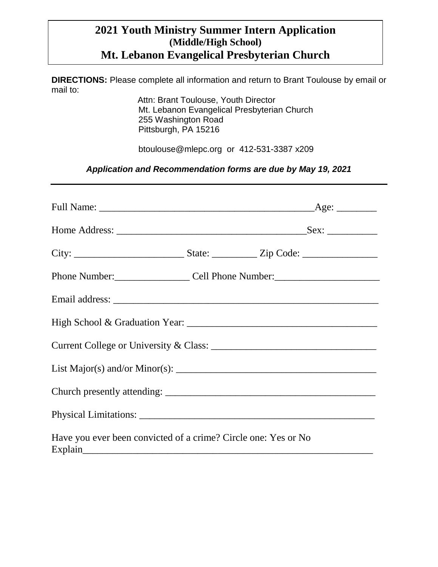# **2021 Youth Ministry Summer Intern Application (Middle/High School) Mt. Lebanon Evangelical Presbyterian Church**

**DIRECTIONS:** Please complete all information and return to Brant Toulouse by email or mail to:

 Attn: Brant Toulouse, Youth Director Mt. Lebanon Evangelical Presbyterian Church 255 Washington Road Pittsburgh, PA 15216

btoulouse@mlepc.org or 412-531-3387 x209

*Application and Recommendation forms are due by May 19, 2021*

|                                                                | Phone Number: Cell Phone Number: 2012                                                                                        |
|----------------------------------------------------------------|------------------------------------------------------------------------------------------------------------------------------|
|                                                                |                                                                                                                              |
|                                                                |                                                                                                                              |
|                                                                |                                                                                                                              |
|                                                                | List Major(s) and/or Minor(s): $\frac{1}{\sqrt{1-\frac{1}{2}}\sqrt{1-\frac{1}{2}}\sqrt{1-\frac{1}{2}}\sqrt{1-\frac{1}{2}}}}$ |
|                                                                |                                                                                                                              |
|                                                                |                                                                                                                              |
| Have you ever been convicted of a crime? Circle one: Yes or No |                                                                                                                              |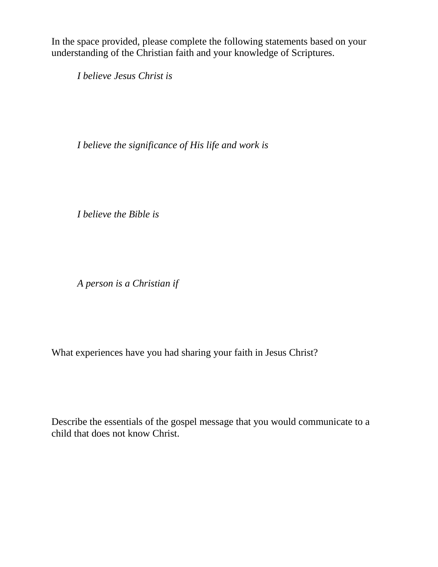In the space provided, please complete the following statements based on your understanding of the Christian faith and your knowledge of Scriptures.

*I believe Jesus Christ is*

*I believe the significance of His life and work is*

*I believe the Bible is*

*A person is a Christian if*

What experiences have you had sharing your faith in Jesus Christ?

Describe the essentials of the gospel message that you would communicate to a child that does not know Christ.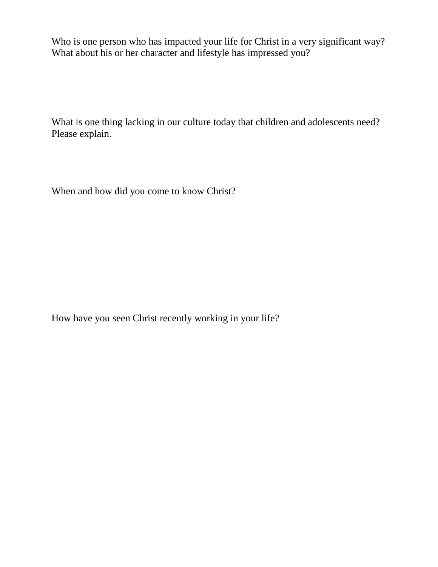Who is one person who has impacted your life for Christ in a very significant way? What about his or her character and lifestyle has impressed you?

What is one thing lacking in our culture today that children and adolescents need? Please explain.

When and how did you come to know Christ?

How have you seen Christ recently working in your life?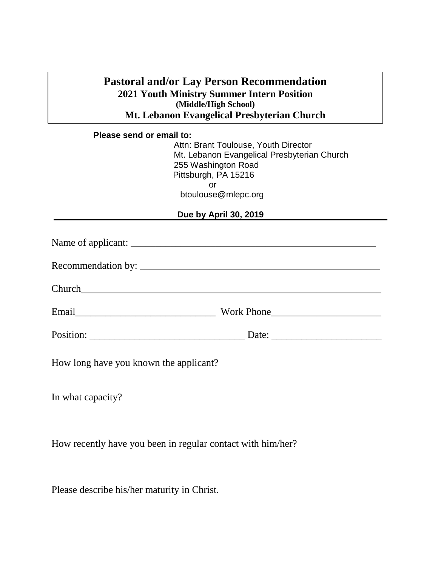# **Pastoral and/or Lay Person Recommendation 2021 Youth Ministry Summer Intern Position (Middle/High School) Mt. Lebanon Evangelical Presbyterian Church**

#### **Please send or email to:**

Attn: Brant Toulouse, Youth Director Mt. Lebanon Evangelical Presbyterian Church 255 Washington Road Pittsburgh, PA 15216 or btoulouse@mlepc.org

## **Due by April 30, 2019**

| Church Channels and the contract of the contract of the contract of the contract of the contract of the contract of the contract of the contract of the contract of the contract of the contract of the contract of the contra |            |  |
|--------------------------------------------------------------------------------------------------------------------------------------------------------------------------------------------------------------------------------|------------|--|
| Email 2008                                                                                                                                                                                                                     | Work Phone |  |
|                                                                                                                                                                                                                                |            |  |
|                                                                                                                                                                                                                                |            |  |

How long have you known the applicant?

In what capacity?

How recently have you been in regular contact with him/her?

Please describe his/her maturity in Christ.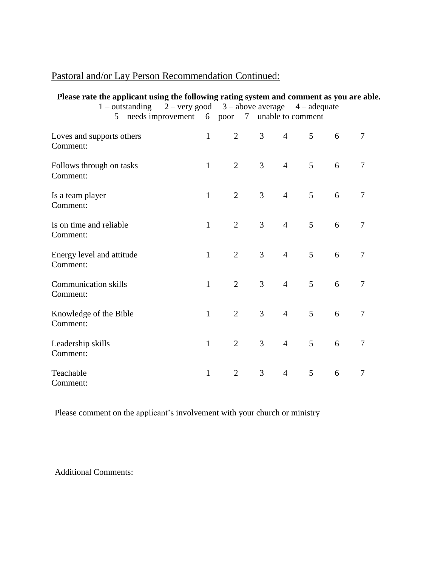# Pastoral and/or Lay Person Recommendation Continued:

| Please rate the applicant using the following rating system and comment as you are able.<br>1 – outstanding $2$ – very good $3$ – above average $4$ – adequate<br>$5$ – needs improvement $6$ – poor $7$ – unable to comment |              |                |                |                |   |   |                          |
|------------------------------------------------------------------------------------------------------------------------------------------------------------------------------------------------------------------------------|--------------|----------------|----------------|----------------|---|---|--------------------------|
| Loves and supports others<br>Comment:                                                                                                                                                                                        | $\mathbf{1}$ | $\overline{2}$ | $\overline{3}$ | $\overline{4}$ | 5 | 6 | $\overline{7}$           |
| Follows through on tasks<br>Comment:                                                                                                                                                                                         | $\mathbf{1}$ | $\overline{2}$ | 3              | $\overline{4}$ | 5 | 6 | $\overline{7}$           |
| Is a team player<br>Comment:                                                                                                                                                                                                 | $\mathbf{1}$ | $\overline{2}$ | 3              | $\overline{4}$ | 5 | 6 | $\overline{7}$           |
| Is on time and reliable<br>Comment:                                                                                                                                                                                          | $\mathbf{1}$ | $\overline{2}$ | $\overline{3}$ | $\overline{4}$ | 5 | 6 | $\overline{7}$           |
| Energy level and attitude<br>Comment:                                                                                                                                                                                        | $\mathbf{1}$ | $\overline{2}$ | 3              | $\overline{4}$ | 5 | 6 | $\overline{\mathcal{L}}$ |
| <b>Communication skills</b><br>Comment:                                                                                                                                                                                      | $\mathbf{1}$ | $\overline{2}$ | 3              | $\overline{4}$ | 5 | 6 | 7                        |
| Knowledge of the Bible<br>Comment:                                                                                                                                                                                           | $\mathbf{1}$ | $\overline{2}$ | $\overline{3}$ | $\overline{4}$ | 5 | 6 | $\overline{7}$           |
| Leadership skills<br>Comment:                                                                                                                                                                                                | $\mathbf{1}$ | $\overline{2}$ | 3              | $\overline{4}$ | 5 | 6 | $\overline{7}$           |
| Teachable<br>Comment:                                                                                                                                                                                                        | $\mathbf{1}$ | $\overline{2}$ | 3              | $\overline{4}$ | 5 | 6 | $\overline{7}$           |

Please comment on the applicant's involvement with your church or ministry

Additional Comments: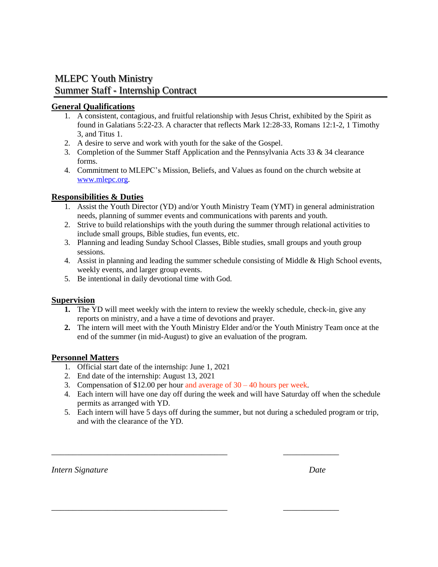# MLEPC Youth Ministry Summer Staff - Internship Contract

#### **General Qualifications**

- 1. A consistent, contagious, and fruitful relationship with Jesus Christ, exhibited by the Spirit as found in Galatians 5:22-23. A character that reflects Mark 12:28-33, Romans 12:1-2, 1 Timothy 3, and Titus 1.
- 2. A desire to serve and work with youth for the sake of the Gospel.
- 3. Completion of the Summer Staff Application and the Pennsylvania Acts 33  $\&$  34 clearance forms.
- 4. Commitment to MLEPC's Mission, Beliefs, and Values as found on the church website at [www.mlepc.org.](http://www.mlepc.org/)

## **Responsibilities & Duties**

- 1. Assist the Youth Director (YD) and/or Youth Ministry Team (YMT) in general administration needs, planning of summer events and communications with parents and youth.
- 2. Strive to build relationships with the youth during the summer through relational activities to include small groups, Bible studies, fun events, etc.
- 3. Planning and leading Sunday School Classes, Bible studies, small groups and youth group sessions.
- 4. Assist in planning and leading the summer schedule consisting of Middle & High School events, weekly events, and larger group events.
- 5. Be intentional in daily devotional time with God.

### **Supervision**

- **1.** The YD will meet weekly with the intern to review the weekly schedule, check-in, give any reports on ministry, and a have a time of devotions and prayer.
- **2.** The intern will meet with the Youth Ministry Elder and/or the Youth Ministry Team once at the end of the summer (in mid-August) to give an evaluation of the program.

### **Personnel Matters**

- 1. Official start date of the internship: June 1, 2021
- 2. End date of the internship: August 13, 2021
- 3. Compensation of \$12.00 per hour and average of  $30 40$  hours per week.

\_\_\_\_\_\_\_\_\_\_\_\_\_\_\_\_\_\_\_\_\_\_\_\_\_\_\_\_\_\_\_\_\_\_\_\_\_\_\_\_\_ \_\_\_\_\_\_\_\_\_\_\_\_\_

\_\_\_\_\_\_\_\_\_\_\_\_\_\_\_\_\_\_\_\_\_\_\_\_\_\_\_\_\_\_\_\_\_\_\_\_\_\_\_\_\_ \_\_\_\_\_\_\_\_\_\_\_\_\_

- 4. Each intern will have one day off during the week and will have Saturday off when the schedule permits as arranged with YD.
- 5. Each intern will have 5 days off during the summer, but not during a scheduled program or trip, and with the clearance of the YD.

*Intern Signature Date*